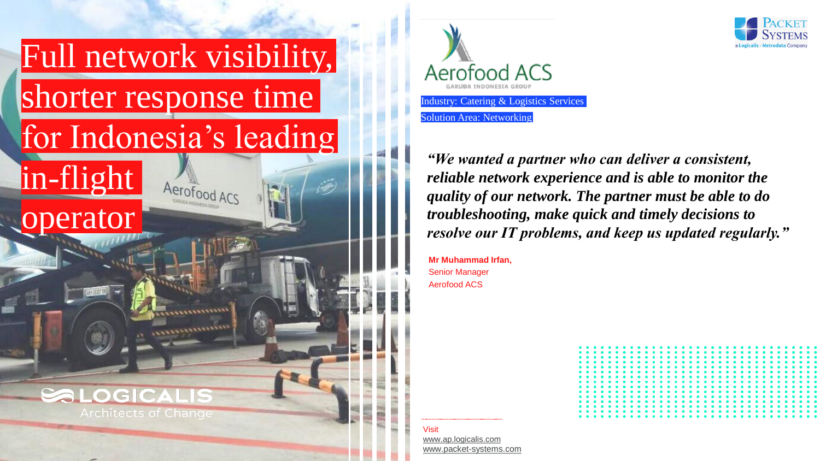





**Mr Muhammad Irfan,**  Senior Manager Aerofood ACS



**Visit** [www.ap.logicalis.com](http://www.ap.logicalis.com/) [www.packet-systems.com](http://www.packet-systems.com/)